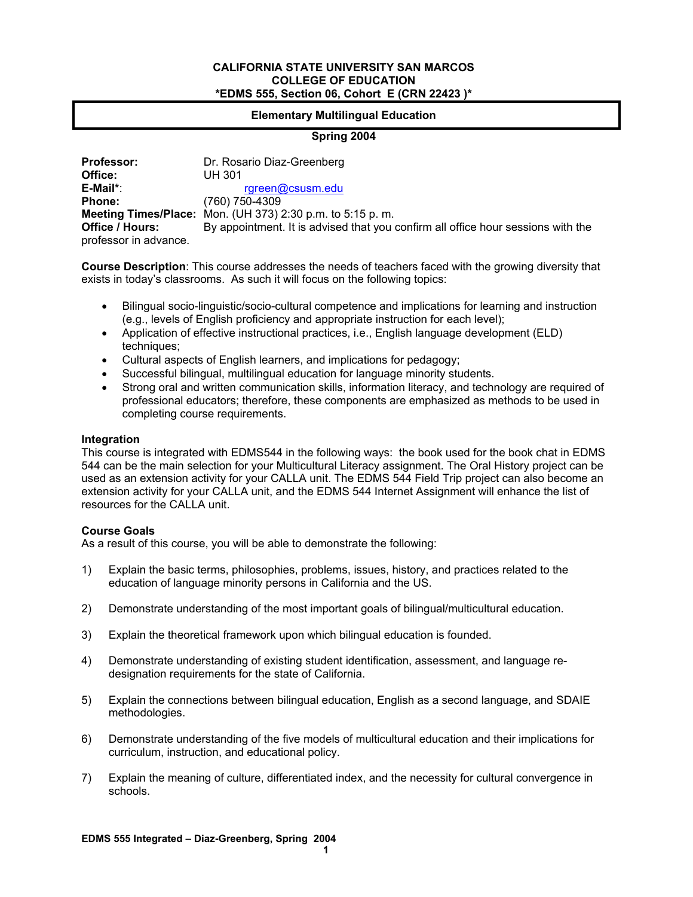#### **CALIFORNIA STATE UNIVERSITY SAN MARCOS COLLEGE OF EDUCATION \*EDMS 555, Section 06, Cohort E (CRN 22423 )\***

#### **Elementary Multilingual Education**

### **Spring 2004**

| <b>Professor:</b>                        | Dr. Rosario Diaz-Greenberg                                                       |
|------------------------------------------|----------------------------------------------------------------------------------|
| Office:                                  | <b>UH 301</b>                                                                    |
| E-Mail*:                                 | rgreen@csusm.edu                                                                 |
| <b>Phone:</b>                            | (760) 750-4309                                                                   |
|                                          | <b>Meeting Times/Place:</b> Mon. (UH 373) 2:30 p.m. to 5:15 p.m.                 |
| Office / Hours:<br>professor in advance. | By appointment. It is advised that you confirm all office hour sessions with the |

**Course Description**: This course addresses the needs of teachers faced with the growing diversity that exists in today's classrooms. As such it will focus on the following topics:

- Bilingual socio-linguistic/socio-cultural competence and implications for learning and instruction (e.g., levels of English proficiency and appropriate instruction for each level);
- Application of effective instructional practices, i.e., English language development (ELD) techniques;
- Cultural aspects of English learners, and implications for pedagogy;
- Successful bilingual, multilingual education for language minority students.
- Strong oral and written communication skills, information literacy, and technology are required of professional educators; therefore, these components are emphasized as methods to be used in completing course requirements.

#### **Integration**

This course is integrated with EDMS544 in the following ways: the book used for the book chat in EDMS 544 can be the main selection for your Multicultural Literacy assignment. The Oral History project can be used as an extension activity for your CALLA unit. The EDMS 544 Field Trip project can also become an extension activity for your CALLA unit, and the EDMS 544 Internet Assignment will enhance the list of resources for the CALLA unit.

#### **Course Goals**

As a result of this course, you will be able to demonstrate the following:

- 1) Explain the basic terms, philosophies, problems, issues, history, and practices related to the education of language minority persons in California and the US.
- 2) Demonstrate understanding of the most important goals of bilingual/multicultural education.
- 3) Explain the theoretical framework upon which bilingual education is founded.
- 4) Demonstrate understanding of existing student identification, assessment, and language redesignation requirements for the state of California.
- 5) Explain the connections between bilingual education, English as a second language, and SDAIE methodologies.
- 6) Demonstrate understanding of the five models of multicultural education and their implications for curriculum, instruction, and educational policy.
- 7) Explain the meaning of culture, differentiated index, and the necessity for cultural convergence in schools.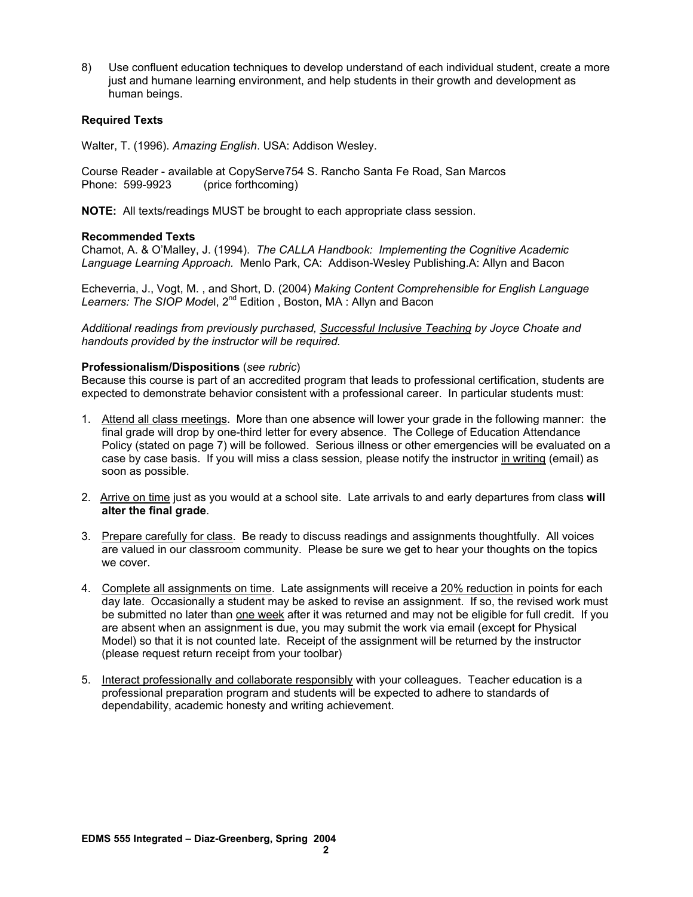8) Use confluent education techniques to develop understand of each individual student, create a more just and humane learning environment, and help students in their growth and development as human beings.

#### **Required Texts**

Walter, T. (1996). *Amazing English*. USA: Addison Wesley.

Course Reader - available at CopyServe 754 S. Rancho Santa Fe Road, San Marcos Phone: 599-9923 (price forthcoming)

**NOTE:** All texts/readings MUST be brought to each appropriate class session.

#### **Recommended Texts**

Chamot, A. & O'Malley, J. (1994). *The CALLA Handbook: Implementing the Cognitive Academic Language Learning Approach.* Menlo Park, CA: Addison-Wesley Publishing.A: Allyn and Bacon

Echeverria, J., Vogt, M. , and Short, D. (2004) *Making Content Comprehensible for English Language Learners: The SIOP Mode*l, 2nd Edition , Boston, MA : Allyn and Bacon

*Additional readings from previously purchased, Successful Inclusive Teaching by Joyce Choate and handouts provided by the instructor will be required.* 

#### **Professionalism/Dispositions** (*see rubric*)

Because this course is part of an accredited program that leads to professional certification, students are expected to demonstrate behavior consistent with a professional career. In particular students must:

- 1. Attend all class meetings. More than one absence will lower your grade in the following manner: the final grade will drop by one-third letter for every absence. The College of Education Attendance Policy (stated on page 7) will be followed. Serious illness or other emergencies will be evaluated on a case by case basis. If you will miss a class session*,* please notify the instructor in writing (email) as soon as possible.
- 2. Arrive on time just as you would at a school site. Late arrivals to and early departures from class **will alter the final grade**.
- 3. Prepare carefully for class. Be ready to discuss readings and assignments thoughtfully. All voices are valued in our classroom community. Please be sure we get to hear your thoughts on the topics we cover.
- 4. Complete all assignments on time. Late assignments will receive a 20% reduction in points for each day late. Occasionally a student may be asked to revise an assignment. If so, the revised work must be submitted no later than one week after it was returned and may not be eligible for full credit. If you are absent when an assignment is due, you may submit the work via email (except for Physical Model) so that it is not counted late. Receipt of the assignment will be returned by the instructor (please request return receipt from your toolbar)
- 5. Interact professionally and collaborate responsibly with your colleagues. Teacher education is a professional preparation program and students will be expected to adhere to standards of dependability, academic honesty and writing achievement.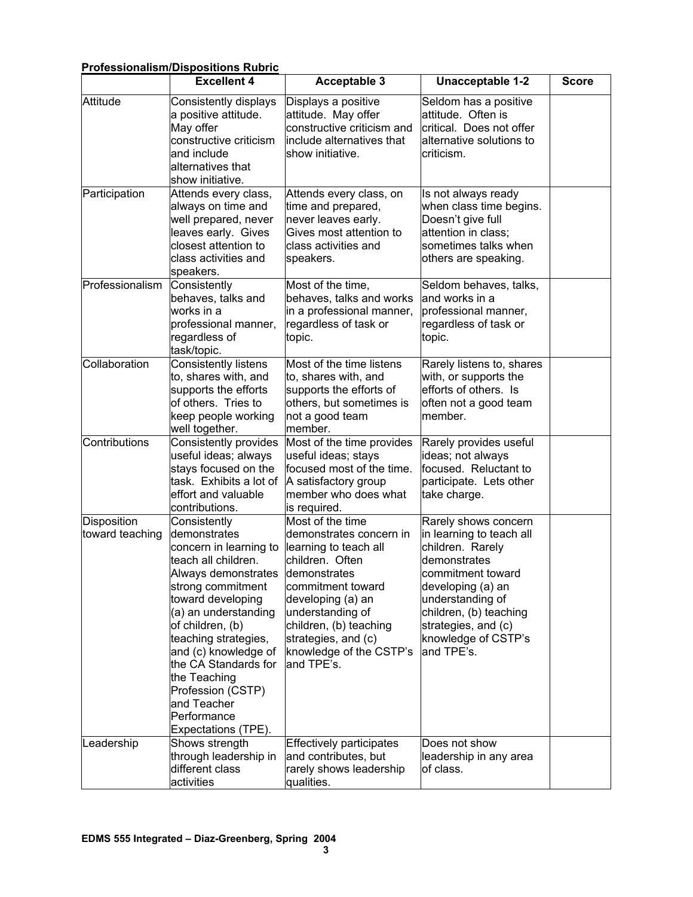| <b>Professionalism/Dispositions Rubric</b> |                                                                                                                                                                                                                                                                                                                                                              |                                                                                                                                                                                                                                                                  |                                                                                                                                                                                                                                          |              |  |
|--------------------------------------------|--------------------------------------------------------------------------------------------------------------------------------------------------------------------------------------------------------------------------------------------------------------------------------------------------------------------------------------------------------------|------------------------------------------------------------------------------------------------------------------------------------------------------------------------------------------------------------------------------------------------------------------|------------------------------------------------------------------------------------------------------------------------------------------------------------------------------------------------------------------------------------------|--------------|--|
|                                            | <b>Excellent 4</b>                                                                                                                                                                                                                                                                                                                                           | <b>Acceptable 3</b>                                                                                                                                                                                                                                              | Unacceptable 1-2                                                                                                                                                                                                                         | <b>Score</b> |  |
| Attitude                                   | Consistently displays<br>a positive attitude.<br>May offer<br>constructive criticism<br>and include<br>alternatives that<br>show initiative.                                                                                                                                                                                                                 | Displays a positive<br>attitude. May offer<br>constructive criticism and<br>include alternatives that<br>show initiative.                                                                                                                                        | Seldom has a positive<br>attitude. Often is<br>critical. Does not offer<br>alternative solutions to<br>criticism.                                                                                                                        |              |  |
| Participation                              | Attends every class,<br>always on time and<br>well prepared, never<br>leaves early. Gives<br>closest attention to<br>class activities and<br>speakers.                                                                                                                                                                                                       | Attends every class, on<br>time and prepared,<br>never leaves early.<br>Gives most attention to<br>class activities and<br>speakers.                                                                                                                             | Is not always ready<br>when class time begins.<br>Doesn't give full<br>attention in class;<br>sometimes talks when<br>others are speaking.                                                                                               |              |  |
| Professionalism                            | Consistently<br>behaves, talks and<br>works in a<br>professional manner,<br>regardless of<br>task/topic.                                                                                                                                                                                                                                                     | Most of the time,<br>behaves, talks and works<br>in a professional manner,<br>regardless of task or<br>topic.                                                                                                                                                    | Seldom behaves, talks,<br>and works in a<br>professional manner,<br>regardless of task or<br>topic.                                                                                                                                      |              |  |
| Collaboration                              | Consistently listens<br>to, shares with, and<br>supports the efforts<br>of others. Tries to<br>keep people working<br>well together.                                                                                                                                                                                                                         | Most of the time listens<br>to, shares with, and<br>supports the efforts of<br>others, but sometimes is<br>not a good team<br>member.                                                                                                                            | Rarely listens to, shares<br>with, or supports the<br>efforts of others. Is<br>often not a good team<br>member.                                                                                                                          |              |  |
| Contributions                              | <b>Consistently provides</b><br>useful ideas; always<br>stays focused on the<br>task. Exhibits a lot of<br>effort and valuable<br>contributions.                                                                                                                                                                                                             | Most of the time provides<br>useful ideas; stays<br>focused most of the time.<br>A satisfactory group<br>member who does what<br>is required.                                                                                                                    | Rarely provides useful<br>ideas; not always<br>focused. Reluctant to<br>participate. Lets other<br>take charge.                                                                                                                          |              |  |
| <b>Disposition</b><br>toward teaching      | Consistently<br>demonstrates<br>concern in learning to<br>teach all children.<br>Always demonstrates<br>strong commitment<br>toward developing<br>(a) an understanding<br>of children, (b)<br>teaching strategies,<br>and (c) knowledge of<br>the CA Standards for<br>the Teaching<br>Profession (CSTP)<br>and Teacher<br>Performance<br>Expectations (TPE). | Most of the time<br>demonstrates concern in<br>learning to teach all<br>children. Often<br>demonstrates<br>commitment toward<br>developing (a) an<br>understanding of<br>children, (b) teaching<br>strategies, and (c)<br>knowledge of the CSTP's<br>land TPE's. | Rarely shows concern<br>in learning to teach all<br>children. Rarely<br>demonstrates<br>commitment toward<br>developing (a) an<br>understanding of<br>children, (b) teaching<br>strategies, and (c)<br>knowledge of CSTP's<br>and TPE's. |              |  |
| Leadership                                 | Shows strength<br>through leadership in<br>different class<br>activities                                                                                                                                                                                                                                                                                     | Effectively participates<br>and contributes, but<br>rarely shows leadership<br>qualities.                                                                                                                                                                        | Does not show<br>leadership in any area<br>of class.                                                                                                                                                                                     |              |  |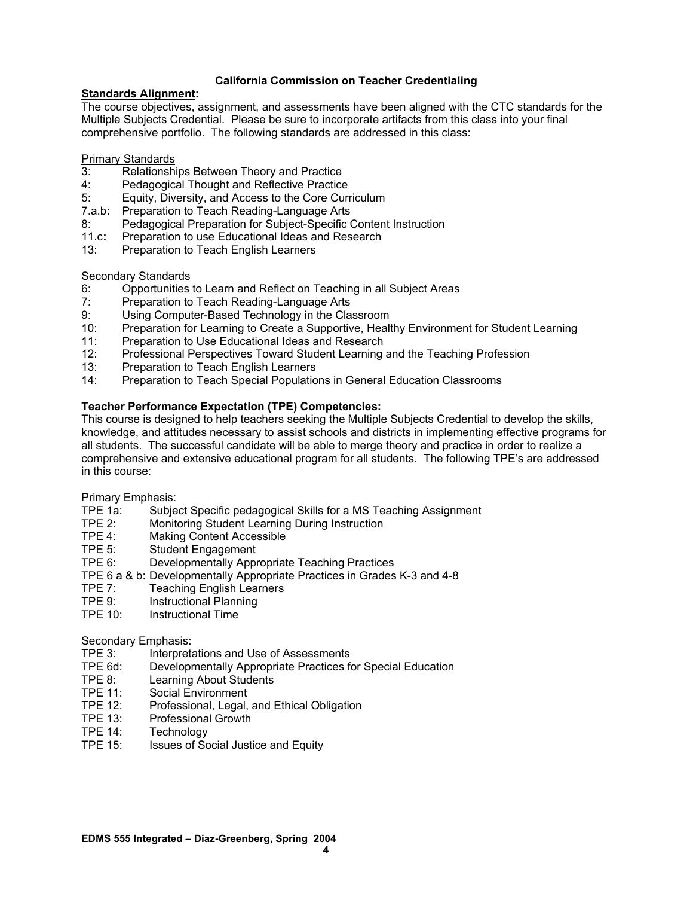### **California Commission on Teacher Credentialing**

#### **Standards Alignment:**

The course objectives, assignment, and assessments have been aligned with the CTC standards for the Multiple Subjects Credential. Please be sure to incorporate artifacts from this class into your final comprehensive portfolio. The following standards are addressed in this class:

Primary Standards

- 3: Relationships Between Theory and Practice
- Pedagogical Thought and Reflective Practice
- 5: Equity, Diversity, and Access to the Core Curriculum
- 7.a.b:Preparation to Teach Reading-Language Arts
- 8: Pedagogical Preparation for Subject-Specific Content Instruction
- 11.c**:** Preparation to use Educational Ideas and Research
- 13:Preparation to Teach English Learners

Secondary Standards

- 6: Opportunities to Learn and Reflect on Teaching in all Subject Areas
- 7: Preparation to Teach Reading-Language Arts
- 9: Using Computer-Based Technology in the Classroom
- 10: Preparation for Learning to Create a Supportive, Healthy Environment for Student Learning
- 11: Preparation to Use Educational Ideas and Research
- 12: Professional Perspectives Toward Student Learning and the Teaching Profession
- 13: Preparation to Teach English Learners
- 14: Preparation to Teach Special Populations in General Education Classrooms

### **Teacher Performance Expectation (TPE) Competencies:**

This course is designed to help teachers seeking the Multiple Subjects Credential to develop the skills, knowledge, and attitudes necessary to assist schools and districts in implementing effective programs for all students. The successful candidate will be able to merge theory and practice in order to realize a comprehensive and extensive educational program for all students. The following TPE's are addressed in this course:

Primary Emphasis:

- TPE 1a: Subject Specific pedagogical Skills for a MS Teaching Assignment
- TPE 2: Monitoring Student Learning During Instruction
- TPE 4: Making Content Accessible
- TPE 5: Student Engagement
- TPE 6: Developmentally Appropriate Teaching Practices
- TPE 6 a & b: Developmentally Appropriate Practices in Grades K-3 and 4-8
- TPE 7: Teaching English Learners
- TPE 9: Instructional Planning
- TPE 10: Instructional Time

# Secondary Emphasis:<br>TPE 3: Interpret

- Interpretations and Use of Assessments
- TPE 6d: Developmentally Appropriate Practices for Special Education
- TPE 8: Learning About Students<br>TPE 11: Social Environment
- Social Environment
- TPE 12: Professional, Legal, and Ethical Obligation
- TPE 13: Professional Growth
- TPE 14: Technology
- TPE 15: Issues of Social Justice and Equity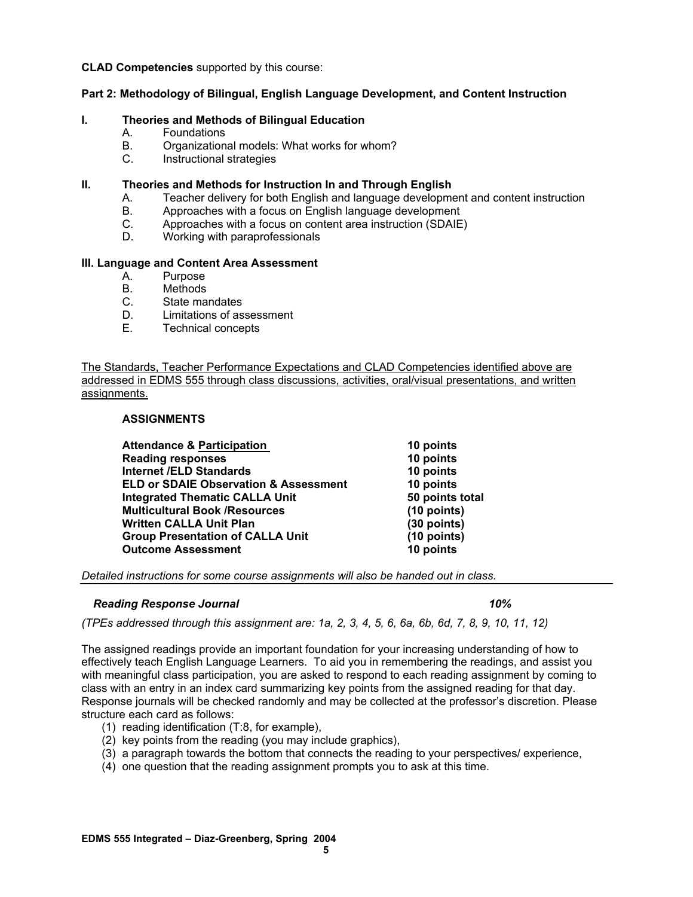#### **CLAD Competencies** supported by this course:

#### **Part 2: Methodology of Bilingual, English Language Development, and Content Instruction**

#### **I. Theories and Methods of Bilingual Education**

- A. Foundations
- B. Organizational models: What works for whom?
- C. Instructional strategies

#### **II. Theories and Methods for Instruction In and Through English**

- A. Teacher delivery for both English and language development and content instruction
- B. Approaches with a focus on English language development<br>C. Approaches with a focus on content area instruction (SDAIE
- Approaches with a focus on content area instruction (SDAIE)
- D. Working with paraprofessionals

#### **III. Language and Content Area Assessment**

- A. Purpose
- B. Methods
- C. State mandates
- D. Limitations of assessment
- E. Technical concepts

The Standards, Teacher Performance Expectations and CLAD Competencies identified above are addressed in EDMS 555 through class discussions, activities, oral/visual presentations, and written assignments.

#### **ASSIGNMENTS**

| <b>Attendance &amp; Participation</b>            | 10 points       |
|--------------------------------------------------|-----------------|
| <b>Reading responses</b>                         | 10 points       |
| <b>Internet /ELD Standards</b>                   | 10 points       |
| <b>ELD or SDAIE Observation &amp; Assessment</b> | 10 points       |
| <b>Integrated Thematic CALLA Unit</b>            | 50 points total |
| <b>Multicultural Book /Resources</b>             | (10 points)     |
| <b>Written CALLA Unit Plan</b>                   | (30 points)     |
| <b>Group Presentation of CALLA Unit</b>          | $(10$ points)   |
| <b>Outcome Assessment</b>                        | 10 points       |
|                                                  |                 |

*Detailed instructions for some course assignments will also be handed out in class.* 

#### *Reading Response Journal* 10% *10%*

*(TPEs addressed through this assignment are: 1a, 2, 3, 4, 5, 6, 6a, 6b, 6d, 7, 8, 9, 10, 11, 12)* 

The assigned readings provide an important foundation for your increasing understanding of how to effectively teach English Language Learners. To aid you in remembering the readings, and assist you with meaningful class participation, you are asked to respond to each reading assignment by coming to class with an entry in an index card summarizing key points from the assigned reading for that day. Response journals will be checked randomly and may be collected at the professor's discretion. Please structure each card as follows:

- (1) reading identification (T:8, for example),
- (2) key points from the reading (you may include graphics),
- (3) a paragraph towards the bottom that connects the reading to your perspectives/ experience,
- (4) one question that the reading assignment prompts you to ask at this time.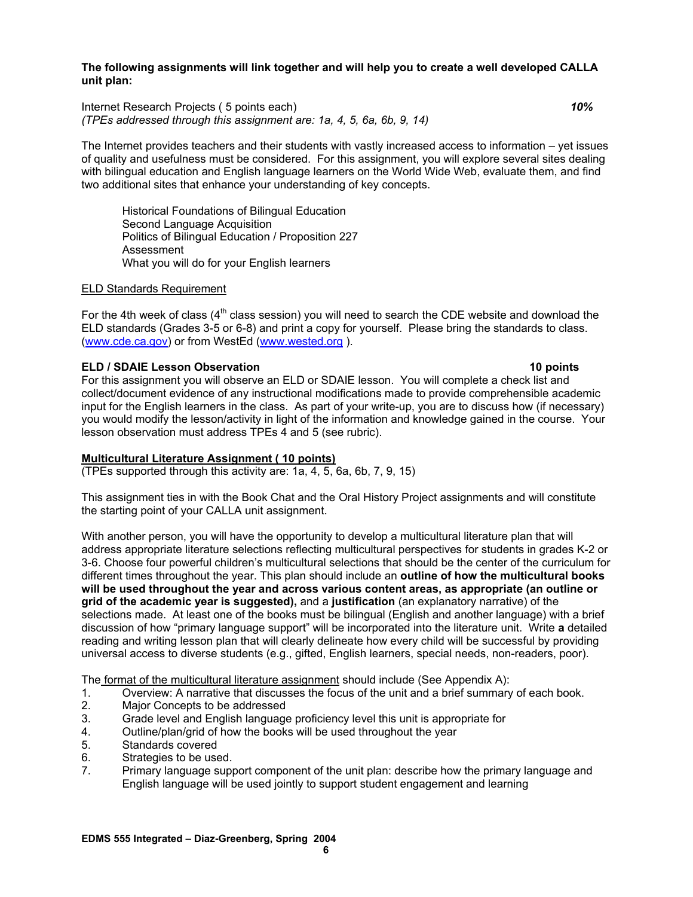**The following assignments will link together and will help you to create a well developed CALLA unit plan:** 

Internet Research Projects ( 5 points each) *10% (TPEs addressed through this assignment are: 1a, 4, 5, 6a, 6b, 9, 14)* 

The Internet provides teachers and their students with vastly increased access to information – yet issues of quality and usefulness must be considered. For this assignment, you will explore several sites dealing with bilingual education and English language learners on the World Wide Web, evaluate them, and find two additional sites that enhance your understanding of key concepts.

Historical Foundations of Bilingual Education Second Language Acquisition Politics of Bilingual Education / Proposition 227 Assessment What you will do for your English learners

#### ELD Standards Requirement

For the 4th week of class  $(4<sup>th</sup>$  class session) you will need to search the CDE website and download the ELD standards (Grades 3-5 or 6-8) and print a copy for yourself. Please bring the standards to class. (www.cde.ca.gov) or from WestEd (www.wested.org ).

#### **ELD / SDAIE Lesson Observation 10 points**

For this assignment you will observe an ELD or SDAIE lesson. You will complete a check list and collect/document evidence of any instructional modifications made to provide comprehensible academic input for the English learners in the class. As part of your write-up, you are to discuss how (if necessary) you would modify the lesson/activity in light of the information and knowledge gained in the course. Your lesson observation must address TPEs 4 and 5 (see rubric).

### **Multicultural Literature Assignment ( 10 points)**

(TPEs supported through this activity are: 1a, 4, 5, 6a, 6b, 7, 9, 15)

This assignment ties in with the Book Chat and the Oral History Project assignments and will constitute the starting point of your CALLA unit assignment.

With another person, you will have the opportunity to develop a multicultural literature plan that will address appropriate literature selections reflecting multicultural perspectives for students in grades K-2 or 3-6. Choose four powerful children's multicultural selections that should be the center of the curriculum for different times throughout the year. This plan should include an **outline of how the multicultural books will be used throughout the year and across various content areas, as appropriate (an outline or grid of the academic year is suggested),** and a **justification** (an explanatory narrative) of the selections made. At least one of the books must be bilingual (English and another language) with a brief discussion of how "primary language support" will be incorporated into the literature unit. Write **a** detailed reading and writing lesson plan that will clearly delineate how every child will be successful by providing universal access to diverse students (e.g., gifted, English learners, special needs, non-readers, poor).

The format of the multicultural literature assignment should include (See Appendix A):

- 1. Overview: A narrative that discusses the focus of the unit and a brief summary of each book.
- 2. Major Concepts to be addressed
- 3. Grade level and English language proficiency level this unit is appropriate for
- 4. Outline/plan/grid of how the books will be used throughout the year
- 5. Standards covered
- 6. Strategies to be used.
- 7. Primary language support component of the unit plan: describe how the primary language and English language will be used jointly to support student engagement and learning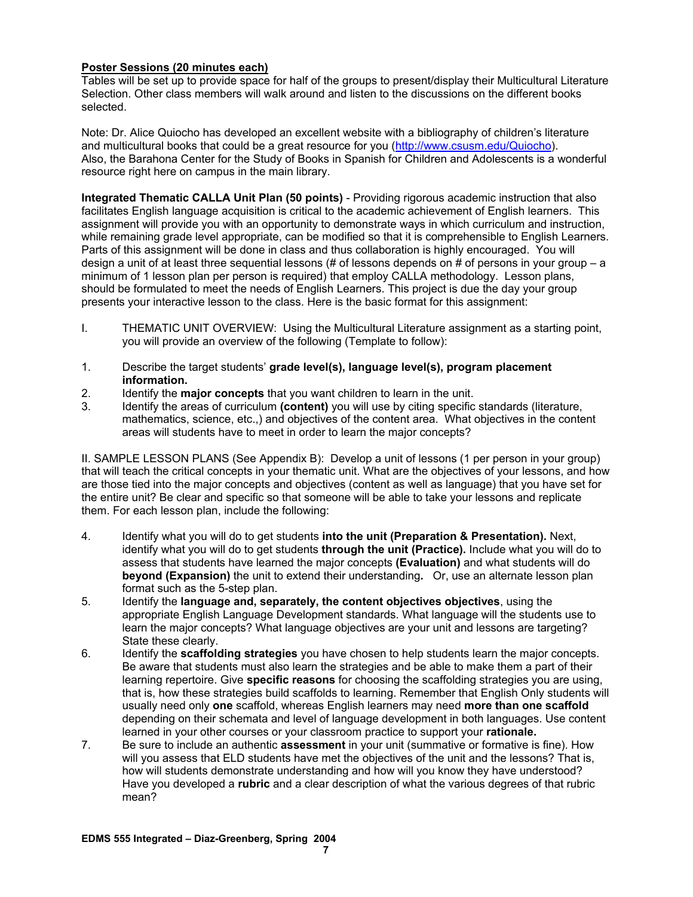### **Poster Sessions (20 minutes each)**

Tables will be set up to provide space for half of the groups to present/display their Multicultural Literature Selection. Other class members will walk around and listen to the discussions on the different books selected.

Note: Dr. Alice Quiocho has developed an excellent website with a bibliography of children's literature and multicultural books that could be a great resource for you (http://www.csusm.edu/Quiocho). Also, the Barahona Center for the Study of Books in Spanish for Children and Adolescents is a wonderful resource right here on campus in the main library.

**Integrated Thematic CALLA Unit Plan (50 points)** - Providing rigorous academic instruction that also facilitates English language acquisition is critical to the academic achievement of English learners. This assignment will provide you with an opportunity to demonstrate ways in which curriculum and instruction, while remaining grade level appropriate, can be modified so that it is comprehensible to English Learners. Parts of this assignment will be done in class and thus collaboration is highly encouraged. You will design a unit of at least three sequential lessons  $#$  of lessons depends on  $#$  of persons in your group – a minimum of 1 lesson plan per person is required) that employ CALLA methodology. Lesson plans, should be formulated to meet the needs of English Learners. This project is due the day your group presents your interactive lesson to the class. Here is the basic format for this assignment:

- I. THEMATIC UNIT OVERVIEW: Using the Multicultural Literature assignment as a starting point, you will provide an overview of the following (Template to follow):
- 1. Describe the target students' **grade level(s), language level(s), program placement information.**
- 2. Identify the **major concepts** that you want children to learn in the unit.
- 3. Identify the areas of curriculum **(content)** you will use by citing specific standards (literature, mathematics, science, etc.,) and objectives of the content area. What objectives in the content areas will students have to meet in order to learn the major concepts?

II. SAMPLE LESSON PLANS (See Appendix B): Develop a unit of lessons (1 per person in your group) that will teach the critical concepts in your thematic unit. What are the objectives of your lessons, and how are those tied into the major concepts and objectives (content as well as language) that you have set for the entire unit? Be clear and specific so that someone will be able to take your lessons and replicate them. For each lesson plan, include the following:

- 4. Identify what you will do to get students **into the unit (Preparation & Presentation).** Next, identify what you will do to get students **through the unit (Practice).** Include what you will do to assess that students have learned the major concepts **(Evaluation)** and what students will do **beyond (Expansion)** the unit to extend their understanding**.** Or, use an alternate lesson plan format such as the 5-step plan.
- 5. Identify the **language and, separately, the content objectives objectives**, using the appropriate English Language Development standards. What language will the students use to learn the major concepts? What language objectives are your unit and lessons are targeting? State these clearly.
- 6. Identify the **scaffolding strategies** you have chosen to help students learn the major concepts. Be aware that students must also learn the strategies and be able to make them a part of their learning repertoire. Give **specific reasons** for choosing the scaffolding strategies you are using, that is, how these strategies build scaffolds to learning. Remember that English Only students will usually need only **one** scaffold, whereas English learners may need **more than one scaffold**  depending on their schemata and level of language development in both languages. Use content learned in your other courses or your classroom practice to support your **rationale.**
- 7. Be sure to include an authentic **assessment** in your unit (summative or formative is fine). How will you assess that ELD students have met the objectives of the unit and the lessons? That is, how will students demonstrate understanding and how will you know they have understood? Have you developed a **rubric** and a clear description of what the various degrees of that rubric mean?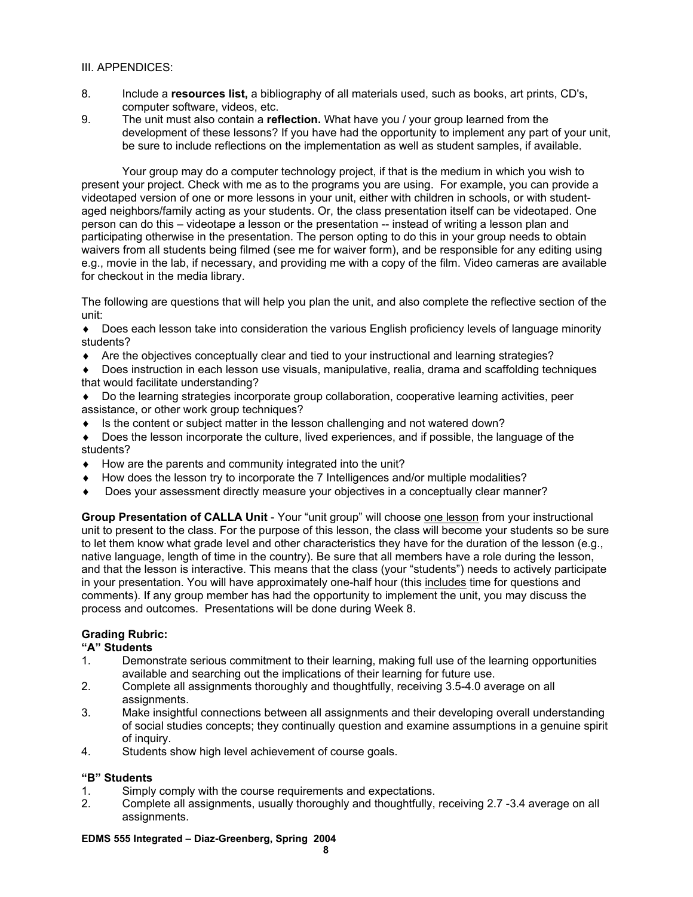#### III. APPENDICES:

- 8. Include a **resources list,** a bibliography of all materials used, such as books, art prints, CD's, computer software, videos, etc.
- 9. The unit must also contain a **reflection.** What have you / your group learned from the development of these lessons? If you have had the opportunity to implement any part of your unit, be sure to include reflections on the implementation as well as student samples, if available.

 Your group may do a computer technology project, if that is the medium in which you wish to present your project. Check with me as to the programs you are using. For example, you can provide a videotaped version of one or more lessons in your unit, either with children in schools, or with studentaged neighbors/family acting as your students. Or, the class presentation itself can be videotaped. One person can do this – videotape a lesson or the presentation -- instead of writing a lesson plan and participating otherwise in the presentation. The person opting to do this in your group needs to obtain waivers from all students being filmed (see me for waiver form), and be responsible for any editing using e.g., movie in the lab, if necessary, and providing me with a copy of the film. Video cameras are available for checkout in the media library.

The following are questions that will help you plan the unit, and also complete the reflective section of the unit:

♦ Does each lesson take into consideration the various English proficiency levels of language minority students?

- ♦ Are the objectives conceptually clear and tied to your instructional and learning strategies?
- ♦ Does instruction in each lesson use visuals, manipulative, realia, drama and scaffolding techniques that would facilitate understanding?
- ♦ Do the learning strategies incorporate group collaboration, cooperative learning activities, peer assistance, or other work group techniques?
- ♦ Is the content or subject matter in the lesson challenging and not watered down?
- ♦ Does the lesson incorporate the culture, lived experiences, and if possible, the language of the students?
- ♦ How are the parents and community integrated into the unit?
- ♦ How does the lesson try to incorporate the 7 Intelligences and/or multiple modalities?
- Does your assessment directly measure your objectives in a conceptually clear manner?

**Group Presentation of CALLA Unit** - Your "unit group" will choose one lesson from your instructional unit to present to the class. For the purpose of this lesson, the class will become your students so be sure to let them know what grade level and other characteristics they have for the duration of the lesson (e.g., native language, length of time in the country). Be sure that all members have a role during the lesson, and that the lesson is interactive. This means that the class (your "students") needs to actively participate in your presentation. You will have approximately one-half hour (this includes time for questions and comments). If any group member has had the opportunity to implement the unit, you may discuss the process and outcomes. Presentations will be done during Week 8.

# **Grading Rubric:**

### **"A" Students**

- 1. Demonstrate serious commitment to their learning, making full use of the learning opportunities available and searching out the implications of their learning for future use.
- 2. Complete all assignments thoroughly and thoughtfully, receiving 3.5-4.0 average on all assignments.
- 3. Make insightful connections between all assignments and their developing overall understanding of social studies concepts; they continually question and examine assumptions in a genuine spirit of inquiry.
- 4. Students show high level achievement of course goals.

# **"B" Students**

- 1. Simply comply with the course requirements and expectations.
- 2. Complete all assignments, usually thoroughly and thoughtfully, receiving 2.7 -3.4 average on all assignments.

#### **EDMS 555 Integrated – Diaz-Greenberg, Spring 2004**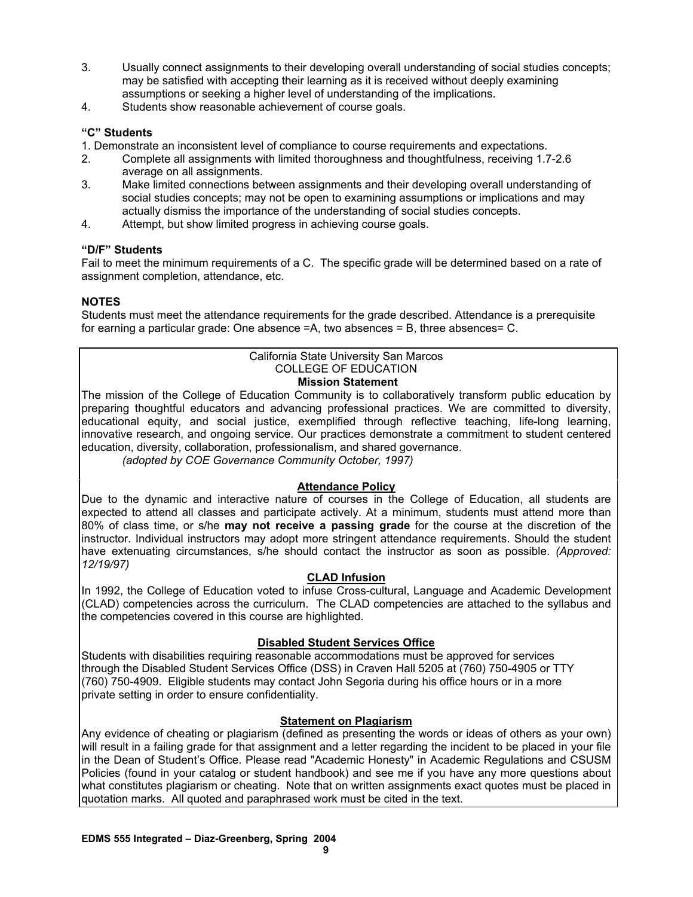- 3. Usually connect assignments to their developing overall understanding of social studies concepts; may be satisfied with accepting their learning as it is received without deeply examining assumptions or seeking a higher level of understanding of the implications.
- 4. Students show reasonable achievement of course goals.

# **"C" Students**

1. Demonstrate an inconsistent level of compliance to course requirements and expectations.

- 2. Complete all assignments with limited thoroughness and thoughtfulness, receiving 1.7-2.6 average on all assignments.
- 3. Make limited connections between assignments and their developing overall understanding of social studies concepts; may not be open to examining assumptions or implications and may actually dismiss the importance of the understanding of social studies concepts.
- 4. Attempt, but show limited progress in achieving course goals.

# **"D/F" Students**

Fail to meet the minimum requirements of a C. The specific grade will be determined based on a rate of assignment completion, attendance, etc.

# **NOTES**

Students must meet the attendance requirements for the grade described. Attendance is a prerequisite for earning a particular grade: One absence =A, two absences = B, three absences= C.

# California State University San Marcos COLLEGE OF EDUCATION

### **Mission Statement**

The mission of the College of Education Community is to collaboratively transform public education by preparing thoughtful educators and advancing professional practices. We are committed to diversity, educational equity, and social justice, exemplified through reflective teaching, life-long learning, innovative research, and ongoing service. Our practices demonstrate a commitment to student centered education, diversity, collaboration, professionalism, and shared governance.

*(adopted by COE Governance Community October, 1997)*

# **Attendance Policy**

Due to the dynamic and interactive nature of courses in the College of Education, all students are expected to attend all classes and participate actively. At a minimum, students must attend more than 80% of class time, or s/he **may not receive a passing grade** for the course at the discretion of the instructor. Individual instructors may adopt more stringent attendance requirements. Should the student have extenuating circumstances, s/he should contact the instructor as soon as possible. *(Approved: 12/19/97)* 

### **CLAD Infusion**

In 1992, the College of Education voted to infuse Cross-cultural, Language and Academic Development (CLAD) competencies across the curriculum. The CLAD competencies are attached to the syllabus and the competencies covered in this course are highlighted.

# **Disabled Student Services Office**

Students with disabilities requiring reasonable accommodations must be approved for services through the Disabled Student Services Office (DSS) in Craven Hall 5205 at (760) 750-4905 or TTY (760) 750-4909. Eligible students may contact John Segoria during his office hours or in a more private setting in order to ensure confidentiality.

### **Statement on Plagiarism**

Any evidence of cheating or plagiarism (defined as presenting the words or ideas of others as your own) will result in a failing grade for that assignment and a letter regarding the incident to be placed in your file in the Dean of Student's Office. Please read "Academic Honesty" in Academic Regulations and CSUSM Policies (found in your catalog or student handbook) and see me if you have any more questions about what constitutes plagiarism or cheating. Note that on written assignments exact quotes must be placed in quotation marks. All quoted and paraphrased work must be cited in the text.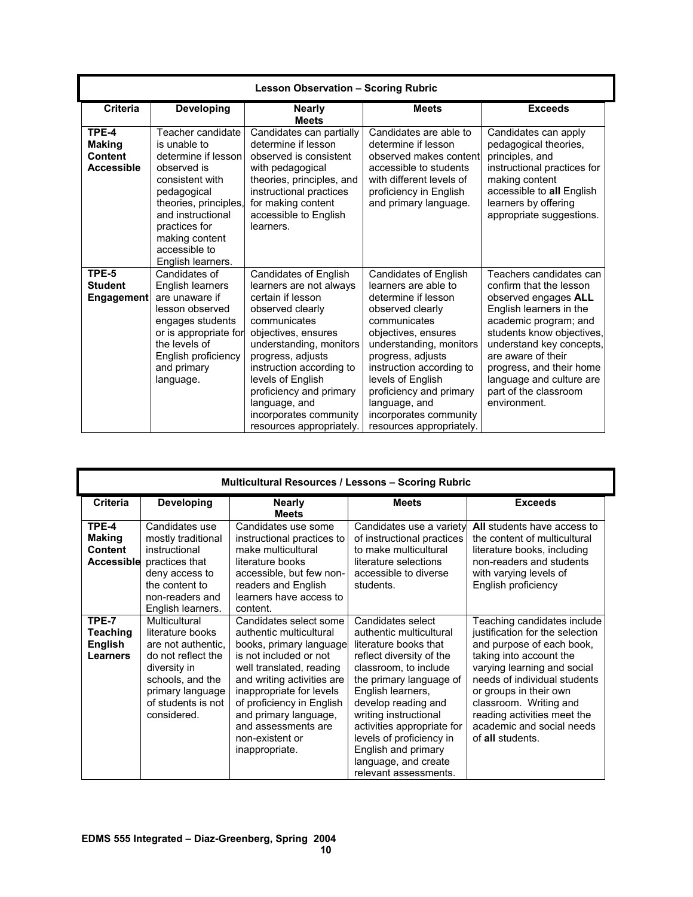| <b>Lesson Observation - Scoring Rubric</b>             |                                                                                                                                                                                                                                  |                                                                                                                                                                                                                                                                                                                                     |                                                                                                                                                                                                                                                                                                                                           |                                                                                                                                                                                                                                                                                                                |
|--------------------------------------------------------|----------------------------------------------------------------------------------------------------------------------------------------------------------------------------------------------------------------------------------|-------------------------------------------------------------------------------------------------------------------------------------------------------------------------------------------------------------------------------------------------------------------------------------------------------------------------------------|-------------------------------------------------------------------------------------------------------------------------------------------------------------------------------------------------------------------------------------------------------------------------------------------------------------------------------------------|----------------------------------------------------------------------------------------------------------------------------------------------------------------------------------------------------------------------------------------------------------------------------------------------------------------|
| <b>Criteria</b>                                        | <b>Developing</b>                                                                                                                                                                                                                | <b>Nearly</b><br><b>Meets</b>                                                                                                                                                                                                                                                                                                       | <b>Meets</b>                                                                                                                                                                                                                                                                                                                              | <b>Exceeds</b>                                                                                                                                                                                                                                                                                                 |
| TPE-4<br><b>Making</b><br>Content<br><b>Accessible</b> | Teacher candidate<br>is unable to<br>determine if lesson<br>observed is<br>consistent with<br>pedagogical<br>theories, principles,<br>and instructional<br>practices for<br>making content<br>accessible to<br>English learners. | Candidates can partially<br>determine if lesson<br>observed is consistent<br>with pedagogical<br>theories, principles, and<br>instructional practices<br>for making content<br>accessible to English<br>learners.                                                                                                                   | Candidates are able to<br>determine if lesson<br>observed makes content<br>accessible to students<br>with different levels of<br>proficiency in English<br>and primary language.                                                                                                                                                          | Candidates can apply<br>pedagogical theories,<br>principles, and<br>instructional practices for<br>making content<br>accessible to all English<br>learners by offering<br>appropriate suggestions.                                                                                                             |
| TPE-5<br><b>Student</b><br><b>Engagement</b>           | Candidates of<br>English learners<br>are unaware if<br>lesson observed<br>engages students<br>or is appropriate for<br>the levels of<br>English proficiency<br>and primary<br>language.                                          | Candidates of English<br>learners are not always<br>certain if lesson<br>observed clearly<br>communicates<br>objectives, ensures<br>understanding, monitors<br>progress, adjusts<br>instruction according to<br>levels of English<br>proficiency and primary<br>language, and<br>incorporates community<br>resources appropriately. | <b>Candidates of English</b><br>learners are able to<br>determine if lesson<br>observed clearly<br>communicates<br>objectives, ensures<br>understanding, monitors<br>progress, adjusts<br>instruction according to<br>levels of English<br>proficiency and primary<br>language, and<br>incorporates community<br>resources appropriately. | Teachers candidates can<br>confirm that the lesson<br>observed engages ALL<br>English learners in the<br>academic program; and<br>students know objectives,<br>understand key concepts,<br>are aware of their<br>progress, and their home<br>language and culture are<br>part of the classroom<br>environment. |

|                                                 | <b>Multicultural Resources / Lessons - Scoring Rubric</b>                                                                                                                  |                                                                                                                                                                                                                                                                                                                |                                                                                                                                                                                                                                                                                                                                                              |                                                                                                                                                                                                                                                                                                                           |  |
|-------------------------------------------------|----------------------------------------------------------------------------------------------------------------------------------------------------------------------------|----------------------------------------------------------------------------------------------------------------------------------------------------------------------------------------------------------------------------------------------------------------------------------------------------------------|--------------------------------------------------------------------------------------------------------------------------------------------------------------------------------------------------------------------------------------------------------------------------------------------------------------------------------------------------------------|---------------------------------------------------------------------------------------------------------------------------------------------------------------------------------------------------------------------------------------------------------------------------------------------------------------------------|--|
| <b>Criteria</b>                                 | <b>Developing</b>                                                                                                                                                          | <b>Nearly</b><br><b>Meets</b>                                                                                                                                                                                                                                                                                  | <b>Meets</b>                                                                                                                                                                                                                                                                                                                                                 | <b>Exceeds</b>                                                                                                                                                                                                                                                                                                            |  |
| TPE-4<br><b>Making</b><br><b>Content</b>        | Candidates use<br>mostly traditional<br>instructional<br><b>Accessible</b> practices that<br>deny access to<br>the content to<br>non-readers and<br>English learners.      | Candidates use some<br>instructional practices to<br>make multicultural<br>literature books<br>accessible, but few non-<br>readers and English<br>learners have access to<br>content.                                                                                                                          | Candidates use a variety<br>of instructional practices<br>to make multicultural<br>literature selections<br>accessible to diverse<br>students.                                                                                                                                                                                                               | All students have access to<br>the content of multicultural<br>literature books, including<br>non-readers and students<br>with varying levels of<br>English proficiency                                                                                                                                                   |  |
| TPE-7<br><b>Teaching</b><br>English<br>Learners | Multicultural<br>literature books<br>are not authentic.<br>do not reflect the<br>diversity in<br>schools, and the<br>primary language<br>of students is not<br>considered. | Candidates select some<br>authentic multicultural<br>books, primary language<br>is not included or not<br>well translated, reading<br>and writing activities are<br>inappropriate for levels<br>of proficiency in English<br>and primary language,<br>and assessments are<br>non-existent or<br>inappropriate. | Candidates select<br>authentic multicultural<br>literature books that<br>reflect diversity of the<br>classroom, to include<br>the primary language of<br>English learners,<br>develop reading and<br>writing instructional<br>activities appropriate for<br>levels of proficiency in<br>English and primary<br>language, and create<br>relevant assessments. | Teaching candidates include<br>justification for the selection<br>and purpose of each book,<br>taking into account the<br>varying learning and social<br>needs of individual students<br>or groups in their own<br>classroom. Writing and<br>reading activities meet the<br>academic and social needs<br>of all students. |  |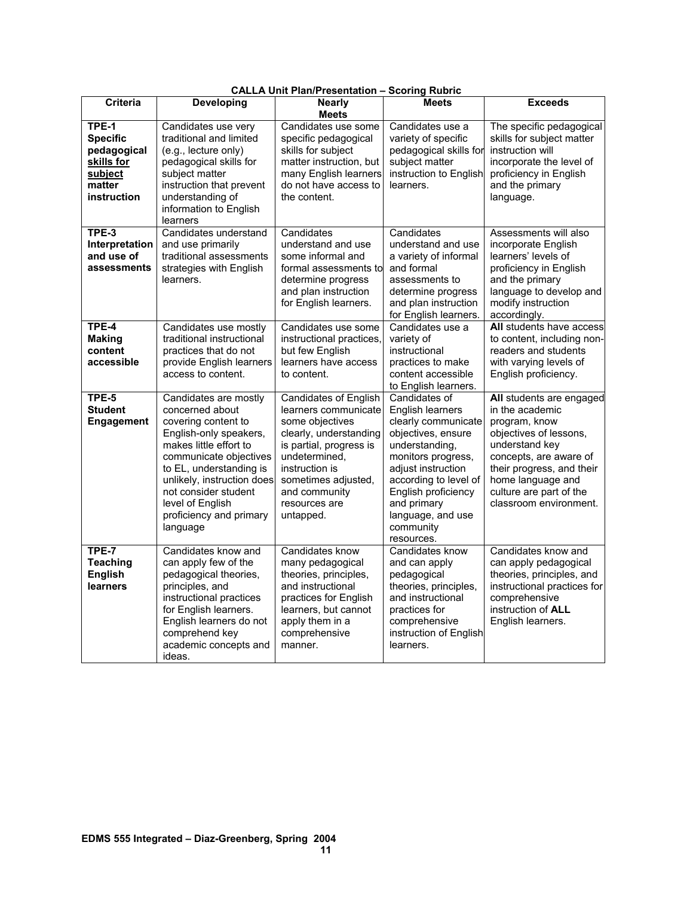| <b>Criteria</b>                                                                           | <b>Developing</b>                                                                                                                                                                                                                                                                         | CALLA UNII Plan/Presentation – Scoring Rubric<br><b>Nearly</b>                                                                                                                                                                        | <b>Meets</b>                                                                                                                                                                                                                                                       | <b>Exceeds</b>                                                                                                                                                                                                                            |
|-------------------------------------------------------------------------------------------|-------------------------------------------------------------------------------------------------------------------------------------------------------------------------------------------------------------------------------------------------------------------------------------------|---------------------------------------------------------------------------------------------------------------------------------------------------------------------------------------------------------------------------------------|--------------------------------------------------------------------------------------------------------------------------------------------------------------------------------------------------------------------------------------------------------------------|-------------------------------------------------------------------------------------------------------------------------------------------------------------------------------------------------------------------------------------------|
|                                                                                           |                                                                                                                                                                                                                                                                                           | <b>Meets</b>                                                                                                                                                                                                                          |                                                                                                                                                                                                                                                                    |                                                                                                                                                                                                                                           |
| TPE-1<br><b>Specific</b><br>pedagogical<br>skills for<br>subject<br>matter<br>instruction | Candidates use very<br>traditional and limited<br>(e.g., lecture only)<br>pedagogical skills for<br>subject matter<br>instruction that prevent<br>understanding of<br>information to English<br>learners                                                                                  | Candidates use some<br>specific pedagogical<br>skills for subject<br>matter instruction, but<br>many English learners<br>do not have access to<br>the content.                                                                        | Candidates use a<br>variety of specific<br>pedagogical skills for<br>subject matter<br>instruction to English<br>learners.                                                                                                                                         | The specific pedagogical<br>skills for subject matter<br>instruction will<br>incorporate the level of<br>proficiency in English<br>and the primary<br>language.                                                                           |
| TPE-3<br>Interpretation<br>and use of<br>assessments                                      | Candidates understand<br>and use primarily<br>traditional assessments<br>strategies with English<br>learners.                                                                                                                                                                             | Candidates<br>understand and use<br>some informal and<br>formal assessments to<br>determine progress<br>and plan instruction<br>for English learners.                                                                                 | Candidates<br>understand and use<br>a variety of informal<br>and formal<br>assessments to<br>determine progress<br>and plan instruction<br>for English learners.                                                                                                   | Assessments will also<br>incorporate English<br>learners' levels of<br>proficiency in English<br>and the primary<br>language to develop and<br>modify instruction<br>accordingly.                                                         |
| TPE-4<br><b>Making</b><br>content<br>accessible                                           | Candidates use mostly<br>traditional instructional<br>practices that do not<br>provide English learners<br>access to content.                                                                                                                                                             | Candidates use some<br>instructional practices,<br>but few English<br>learners have access<br>to content.                                                                                                                             | Candidates use a<br>variety of<br>instructional<br>practices to make<br>content accessible<br>to English learners.                                                                                                                                                 | All students have access<br>to content, including non-<br>readers and students<br>with varying levels of<br>English proficiency.                                                                                                          |
| TPE-5<br><b>Student</b><br>Engagement                                                     | Candidates are mostly<br>concerned about<br>covering content to<br>English-only speakers,<br>makes little effort to<br>communicate objectives<br>to EL, understanding is<br>unlikely, instruction does<br>not consider student<br>level of English<br>proficiency and primary<br>language | <b>Candidates of English</b><br>learners communicate<br>some objectives<br>clearly, understanding<br>is partial, progress is<br>undetermined,<br>instruction is<br>sometimes adjusted,<br>and community<br>resources are<br>untapped. | Candidates of<br><b>English learners</b><br>clearly communicate<br>objectives, ensure<br>understanding,<br>monitors progress,<br>adjust instruction<br>according to level of<br>English proficiency<br>and primary<br>language, and use<br>community<br>resources. | All students are engaged<br>in the academic<br>program, know<br>objectives of lessons,<br>understand key<br>concepts, are aware of<br>their progress, and their<br>home language and<br>culture are part of the<br>classroom environment. |
| <b>TPE-7</b><br><b>Teaching</b><br><b>English</b><br>learners                             | Candidates know and<br>can apply few of the<br>pedagogical theories,<br>principles, and<br>instructional practices<br>for English learners.<br>English learners do not<br>comprehend key<br>academic concepts and<br>ideas.                                                               | Candidates know<br>many pedagogical<br>theories, principles,<br>and instructional<br>practices for English<br>learners, but cannot<br>apply them in a<br>comprehensive<br>manner.                                                     | Candidates know<br>and can apply<br>pedagogical<br>theories, principles,<br>and instructional<br>practices for<br>comprehensive<br>instruction of English<br>learners.                                                                                             | Candidates know and<br>can apply pedagogical<br>theories, principles, and<br>instructional practices for<br>comprehensive<br>instruction of ALL<br>English learners.                                                                      |

| <b>CALLA Unit Plan/Presentation - Scoring Rubric</b> |  |  |
|------------------------------------------------------|--|--|
|------------------------------------------------------|--|--|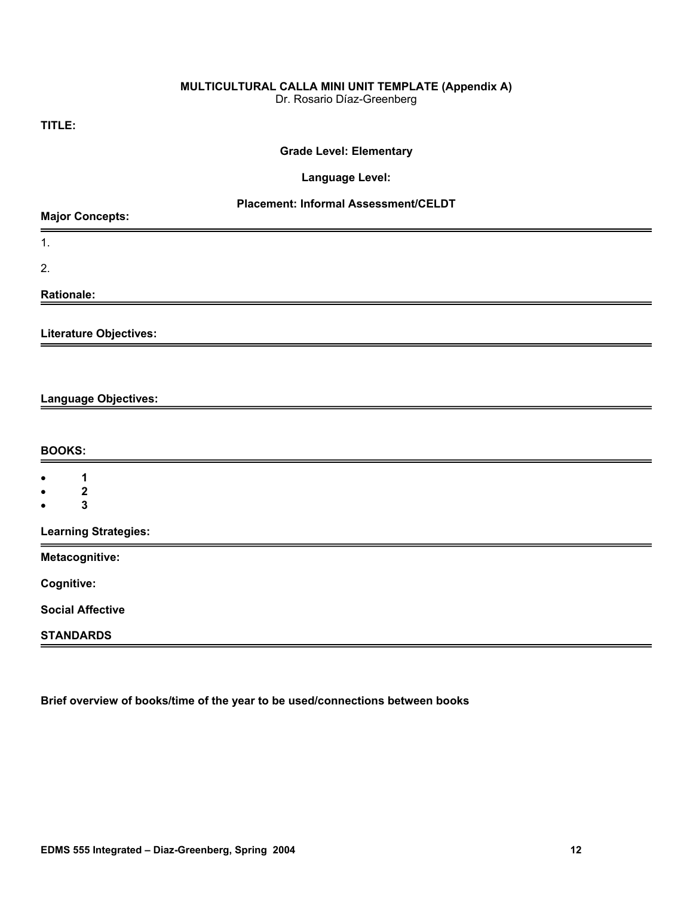# **MULTICULTURAL CALLA MINI UNIT TEMPLATE (Appendix A)**

Dr. Rosario Díaz-Greenberg

**TITLE:** 

# **Grade Level: Elementary**

#### **Language Level:**

# **Placement: Informal Assessment/CELDT**

| <b>Major Concepts:</b>                          |  |  |  |
|-------------------------------------------------|--|--|--|
| 1.                                              |  |  |  |
| 2.                                              |  |  |  |
| <b>Rationale:</b>                               |  |  |  |
| Literature Objectives:                          |  |  |  |
|                                                 |  |  |  |
| Language Objectives:                            |  |  |  |
|                                                 |  |  |  |
| <b>BOOKS:</b>                                   |  |  |  |
| 1<br>$\bullet$                                  |  |  |  |
| $\boldsymbol{2}$<br>$\bullet$<br>3<br>$\bullet$ |  |  |  |
| <b>Learning Strategies:</b>                     |  |  |  |
| Metacognitive:                                  |  |  |  |
| Cognitive:                                      |  |  |  |
| <b>Social Affective</b>                         |  |  |  |
| <b>STANDARDS</b>                                |  |  |  |

**Brief overview of books/time of the year to be used/connections between books**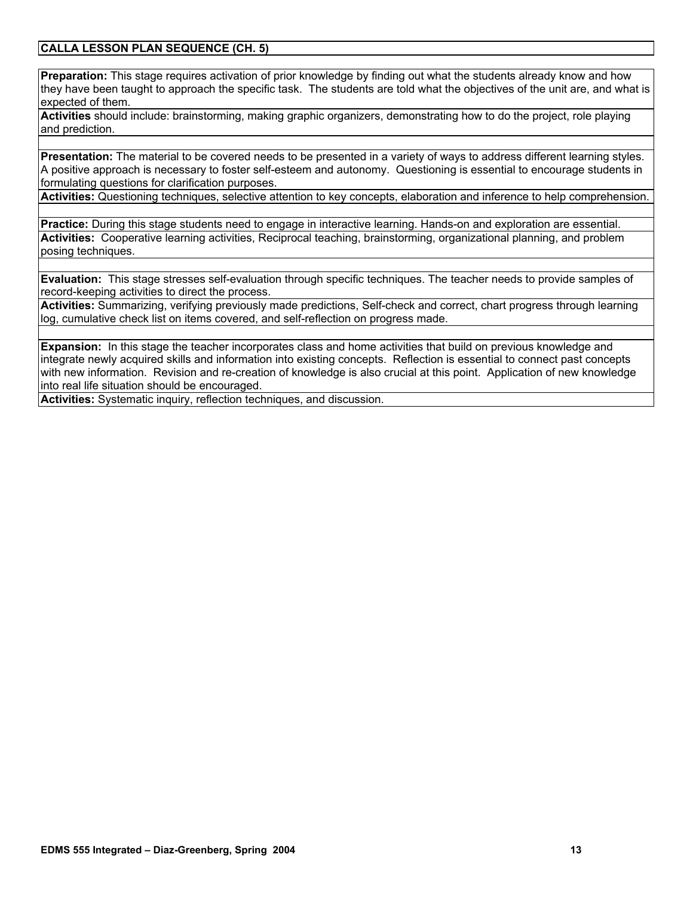### **CALLA LESSON PLAN SEQUENCE (CH. 5)**

**Preparation:** This stage requires activation of prior knowledge by finding out what the students already know and how they have been taught to approach the specific task. The students are told what the objectives of the unit are, and what is expected of them.

**Activities** should include: brainstorming, making graphic organizers, demonstrating how to do the project, role playing and prediction.

**Presentation:** The material to be covered needs to be presented in a variety of ways to address different learning styles. A positive approach is necessary to foster self-esteem and autonomy. Questioning is essential to encourage students in formulating questions for clarification purposes.

**Activities:** Questioning techniques, selective attention to key concepts, elaboration and inference to help comprehension.

**Practice:** During this stage students need to engage in interactive learning. Hands-on and exploration are essential. **Activities:** Cooperative learning activities, Reciprocal teaching, brainstorming, organizational planning, and problem posing techniques.

**Evaluation:** This stage stresses self-evaluation through specific techniques. The teacher needs to provide samples of record-keeping activities to direct the process.

**Activities:** Summarizing, verifying previously made predictions, Self-check and correct, chart progress through learning log, cumulative check list on items covered, and self-reflection on progress made.

**Expansion:** In this stage the teacher incorporates class and home activities that build on previous knowledge and integrate newly acquired skills and information into existing concepts. Reflection is essential to connect past concepts with new information. Revision and re-creation of knowledge is also crucial at this point. Application of new knowledge into real life situation should be encouraged.

**Activities:** Systematic inquiry, reflection techniques, and discussion.